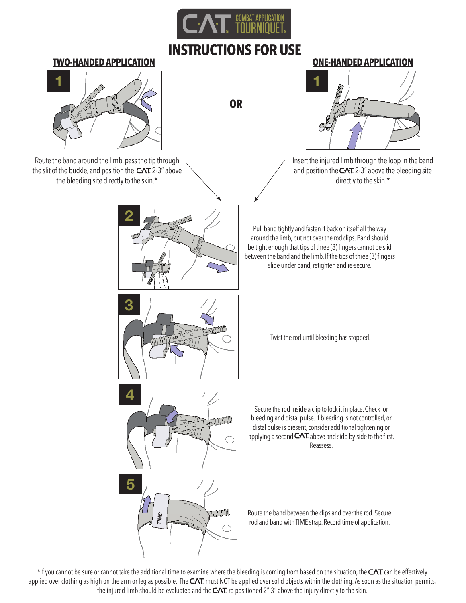

# **INSTRUCTIONS FOR USE**

**OR**

### **TWO-HANDED APPLICATION ONE-HANDED APPLICATION**



Route the band around the limb, pass the tip through the slit of the buckle, and position the  $CAT$  2-3" above the bleeding site directly to the skin.\*



**5**THULL  $\bigcap$ 



Insert the injured limb through the loop in the band and position the  $CAT$  2-3" above the bleeding site directly to the skin.\*

Pull band tightly and fasten it back on itself all the way around the limb, but not over the rod clips. Band should be tight enough that tips of three (3) fingers cannot be slid between the band and the limb. If the tips of three (3) fingers slide under band, retighten and re-secure.

Twist the rod until bleeding has stopped.

Secure the rod inside a clip to lock it in place. Check for bleeding and distal pulse. If bleeding is not controlled, or distal pulse is present, consider additional tightening or applying a second  $CAT$  above and side-by-side to the first. Reassess.

Route the band between the clips and over the rod. Secure rod and band with TIME strap. Record time of application.

\*If you cannot be sure or cannot take the additional time to examine where the bleeding is coming from based on the situation, the  $CAT$  can be effectively applied over clothing as high on the arm or leg as possible. The  $CAT$  must NOT be applied over solid objects within the clothing. As soon as the situation permits, the injured limb should be evaluated and the  $CAT$  re-positioned 2"-3" above the injury directly to the skin.